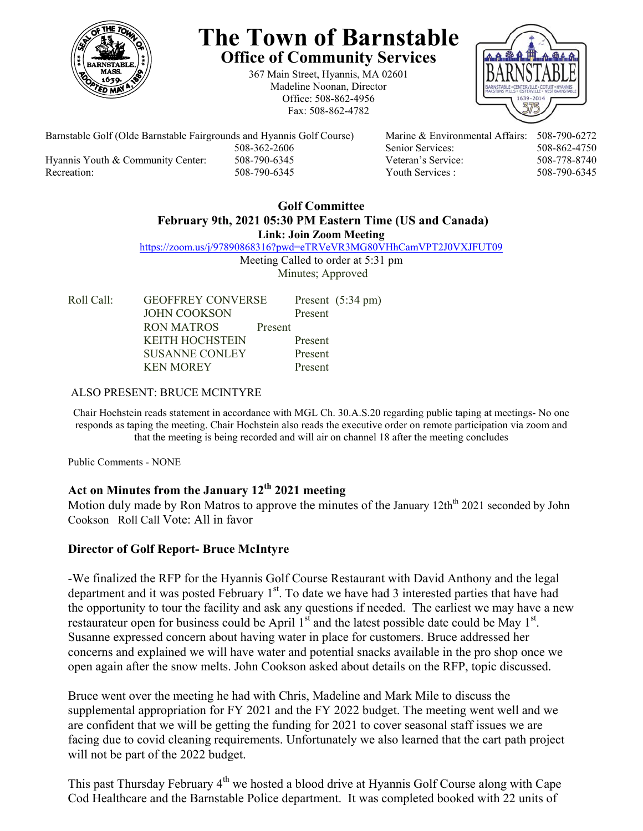

# **The Town of Barnstable Office of Community Services**

367 Main Street, Hyannis, MA 02601 Madeline Noonan, Director Office: 508-862-4956 Fax: 508-862-4782



Barnstable Golf (Olde Barnstable Fairgrounds and Hyannis Golf Course) Marine & Environmental Affairs: 508-790-6272 508-362-2606 Senior Services: 508-862-4750 Hyannis Youth & Community Center: 508-790-6345 Veteran's Service: 508-778-8740 Recreation: 508-790-6345 Youth Services : 508-790-6345

#### **Golf Committee February 9th, 2021 05:30 PM Eastern Time (US and Canada) Link: Join Zoom Meeting**

https://zoom.us/j/97890868316?pwd=eTRVeVR3MG80VHhCamVPT2J0VXJFUT09

Meeting Called to order at 5:31 pm Minutes; Approved

Roll Call: GEOFFREY CONVERSE Present (5:34 pm) JOHN COOKSON Present RON MATROS Present KEITH HOCHSTEIN Present SUSANNE CONLEY Present KEN MOREY Present

### ALSO PRESENT: BRUCE MCINTYRE

Chair Hochstein reads statement in accordance with MGL Ch. 30.A.S.20 regarding public taping at meetings- No one responds as taping the meeting. Chair Hochstein also reads the executive order on remote participation via zoom and that the meeting is being recorded and will air on channel 18 after the meeting concludes

Public Comments - NONE

# **Act on Minutes from the January 12th 2021 meeting**

Motion duly made by Ron Matros to approve the minutes of the January 12th<sup>th</sup> 2021 seconded by John Cookson Roll Call Vote: All in favor

## **Director of Golf Report- Bruce McIntyre**

-We finalized the RFP for the Hyannis Golf Course Restaurant with David Anthony and the legal department and it was posted February  $1<sup>st</sup>$ . To date we have had 3 interested parties that have had the opportunity to tour the facility and ask any questions if needed. The earliest we may have a new restaurateur open for business could be April  $1<sup>st</sup>$  and the latest possible date could be May  $1<sup>st</sup>$ . Susanne expressed concern about having water in place for customers. Bruce addressed her concerns and explained we will have water and potential snacks available in the pro shop once we open again after the snow melts. John Cookson asked about details on the RFP, topic discussed.

Bruce went over the meeting he had with Chris, Madeline and Mark Mile to discuss the supplemental appropriation for FY 2021 and the FY 2022 budget. The meeting went well and we are confident that we will be getting the funding for 2021 to cover seasonal staff issues we are facing due to covid cleaning requirements. Unfortunately we also learned that the cart path project will not be part of the 2022 budget.

This past Thursday February  $4<sup>th</sup>$  we hosted a blood drive at Hyannis Golf Course along with Cape Cod Healthcare and the Barnstable Police department. It was completed booked with 22 units of